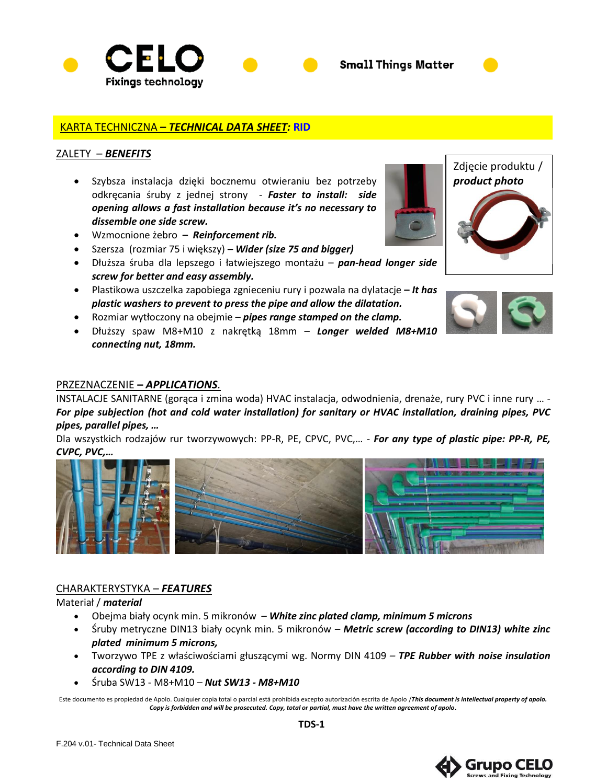



## KARTA TECHNICZNA **–** *TECHNICAL DATA SHEET:* **RID**

## ZALETY – *BENEFITS*

- Szybsza instalacja dzięki bocznemu otwieraniu bez potrzeby odkręcania śruby z jednej strony - *Faster to install: side opening allows a fast installation because it's no necessary to dissemble one side screw.*
- Wzmocnione żebro **–** *Reinforcement rib.*
- Szersza (rozmiar 75 i większy) *– Wider (size 75 and bigger)*
- Dłuższa śruba dla lepszego i łatwiejszego montażu *pan-head longer side screw for better and easy assembly.*
- Plastikowa uszczelka zapobiega zgnieceniu rury i pozwala na dylatacje **–** *It has plastic washers to prevent to press the pipe and allow the dilatation.*
- Rozmiar wytłoczony na obejmie *pipes range stamped on the clamp.*
- Dłuższy spaw M8+M10 z nakrętką 18mm *Longer welded M8+M10 connecting nut, 18mm.*

## PRZEZNACZENIE **–** *APPLICATIONS.*

INSTALACJE SANITARNE (gorąca i zmina woda) HVAC instalacja, odwodnienia, drenaże, rury PVC i inne rury … - *For pipe subjection (hot and cold water installation) for sanitary or HVAC installation, draining pipes, PVC pipes, parallel pipes, …*

Dla wszystkich rodzajów rur tworzywowych: PP-R, PE, CPVC, PVC,… - *For any type of plastic pipe: PP-R, PE, CVPC, PVC,…*



#### CHARAKTERYSTYKA – *FEATURES*

#### Materiał / *material*

F.204 v.01- Technical Data Sheet

- Obejma biały ocynk min. 5 mikronów *– White zinc plated clamp, minimum 5 microns*
- Śruby metryczne DIN13 biały ocynk min. 5 mikronów *– Metric screw (according to DIN13) white zinc plated minimum 5 microns,*
- Tworzywo TPE z właściwościami głuszącymi wg. Normy DIN 4109 *– TPE Rubber with noise insulation according to DIN 4109.*
- Śruba SW13 M8+M10 *– Nut SW13 - M8+M10*

Este documento es propiedad de Apolo. Cualquier copia total o parcial está prohibida excepto autorización escrita de Apolo /*This document is intellectual property of apolo. Copy is forbidden and will be prosecuted. Copy, total or partial, must have the written agreement of apolo.*





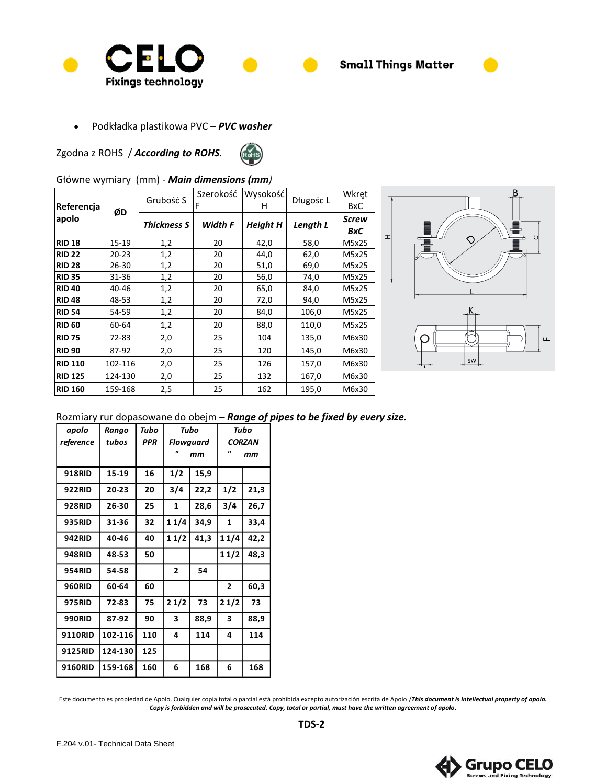

• Podkładka plastikowa PVC *– PVC washer*

Zgodna z ROHS / *According to ROHS.*



# Główne wymiary (mm) *- Main dimensions (mm)*

| Referencja<br>apolo | ØD        | Grubość S          | Szerokość<br>F | Wysokość<br>н   | Długośc L | Wkręt<br><b>BxC</b> |
|---------------------|-----------|--------------------|----------------|-----------------|-----------|---------------------|
|                     |           | <b>Thickness S</b> | Width F        | <b>Height H</b> | Length L  | Screw<br>BxC        |
| <b>RID 18</b>       | 15-19     | 1,2                | 20             | 42,0            | 58,0      | M5x25               |
| <b>RID 22</b>       | $20 - 23$ | 1,2                | 20             | 44,0            | 62,0      | M5x25               |
| <b>RID 28</b>       | 26-30     | 1,2                | 20             | 51,0            | 69,0      | M5x25               |
| <b>RID 35</b>       | 31-36     | 1,2                | 20             | 56,0            | 74,0      | M5x25               |
| <b>RID 40</b>       | 40-46     | 1,2                | 20             | 65,0            | 84,0      | M5x25               |
| <b>RID 48</b>       | 48-53     | 1,2                | 20             | 72,0            | 94,0      | M5x25               |
| <b>RID 54</b>       | 54-59     | 1,2                | 20             | 84,0            | 106,0     | M5x25               |
| <b>RID 60</b>       | 60-64     | 1,2                | 20             | 88,0            | 110,0     | M5x25               |
| <b>RID 75</b>       | 72-83     | 2,0                | 25             | 104             | 135,0     | M6x30               |
| <b>RID 90</b>       | 87-92     | 2,0                | 25             | 120             | 145,0     | M6x30               |
| <b>RID 110</b>      | 102-116   | 2,0                | 25             | 126             | 157,0     | M6x30               |
| <b>RID 125</b>      | 124-130   | 2,0                | 25             | 132             | 167,0     | M6x30               |
| <b>RID 160</b>      | 159-168   | 2,5                | 25             | 162             | 195,0     | M6x30               |



## Rozmiary rur dopasowane do obejm *– Range of pipes to be fixed by every size.*

| apolo          | Rango     | Tubo       | Tubo           |      | Tubo           |      |
|----------------|-----------|------------|----------------|------|----------------|------|
| reference      | tubos     | <b>PPR</b> | Flowguard      |      | <b>CORZAN</b>  |      |
|                |           |            | "<br>mm        |      | "<br>mm        |      |
| <b>918RID</b>  | 15-19     | 16         | 1/2            | 15,9 |                |      |
| <b>922RID</b>  | $20 - 23$ | 20         | 3/4            | 22,2 | 1/2            | 21,3 |
| <b>928RID</b>  | 26-30     | 25         | $\mathbf{1}$   | 28,6 | 3/4            | 26,7 |
| <b>935RID</b>  | 31-36     | 32         | 11/4           | 34,9 | 1              | 33,4 |
| <b>942RID</b>  | 40-46     | 40         | 11/2           | 41,3 | 1 1/4          | 42,2 |
| <b>948RID</b>  | 48-53     | 50         |                |      | 11/2           | 48,3 |
| <b>954RID</b>  | 54-58     |            | $\overline{2}$ | 54   |                |      |
| <b>960RID</b>  | 60-64     | 60         |                |      | $\overline{2}$ | 60,3 |
| <b>975RID</b>  | 72-83     | 75         | 21/2           | 73   | 21/2           | 73   |
| <b>990RID</b>  | 87-92     | 90         | 3              | 88,9 | 3              | 88,9 |
| <b>9110RID</b> | 102-116   | 110        | 4              | 114  | 4              | 114  |
| 9125RID        | 124-130   | 125        |                |      |                |      |
| 9160RID        | 159-168   | 160        | 6              | 168  | 6              | 168  |

Este documento es propiedad de Apolo. Cualquier copia total o parcial está prohibida excepto autorización escrita de Apolo /*This document is intellectual property of apolo. Copy is forbidden and will be prosecuted. Copy, total or partial, must have the written agreement of apolo.*